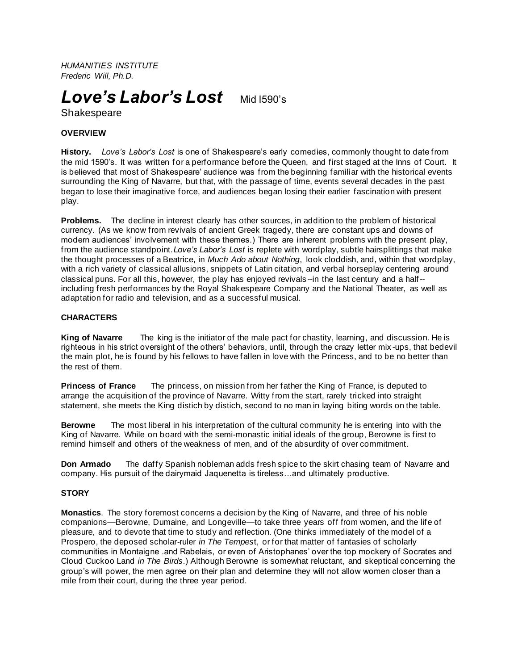*HUMANITIES INSTITUTE Frederic Will, Ph.D.*

# *Love's Labor's Lost*Mid l590's

Shakespeare

## **OVERVIEW**

**History.** *Love's Labor's Lost* is one of Shakespeare's early comedies, commonly thought to date from the mid 1590's. It was written for a performance before the Queen, and first staged at the Inns of Court. It is believed that most of Shakespeare' audience was from the beginning familiar with the historical events surrounding the King of Navarre, but that, with the passage of time, events several decades in the past began to lose their imaginative force, and audiences began losing their earlier fascination with present play.

**Problems.** The decline in interest clearly has other sources, in addition to the problem of historical currency. (As we know from revivals of ancient Greek tragedy, there are constant ups and downs of modern audiences' involvement with these themes.) There are inherent problems with the present play, from the audience standpoint.*Love's Labor's Lost* is replete with wordplay, subtle hairsplittings that make the thought processes of a Beatrice, in *Much Ado about Nothing*, look cloddish, and, within that wordplay, with a rich variety of classical allusions, snippets of Latin citation, and verbal horseplay centering around classical puns. For all this, however, the play has enjoyed revivals--in the last century and a half- including fresh performances by the Royal Shakespeare Company and the National Theater, as well as adaptation for radio and television, and as a successful musical.

### **CHARACTERS**

**King of Navarre** The king is the initiator of the male pact for chastity, learning, and discussion. He is righteous in his strict oversight of the others' behaviors, until, through the crazy letter mix -ups, that bedevil the main plot, he is found by his fellows to have fallen in love with the Princess, and to be no better than the rest of them.

**Princess of France** The princess, on mission from her father the King of France, is deputed to arrange the acquisition of the province of Navarre. Witty from the start, rarely tricked into straight statement, she meets the King distich by distich, second to no man in Iaying biting words on the table.

**Berowne** The most liberal in his interpretation of the cultural community he is entering into with the King of Navarre. While on board with the semi-monastic initial ideals of the group, Berowne is first to remind himself and others of the weakness of men, and of the absurdity of over commitment.

**Don Armado** The daffy Spanish nobleman adds fresh spice to the skirt chasing team of Navarre and company. His pursuit of the dairymaid Jaquenetta is tireless…and ultimately productive.

## **STORY**

**Monastics**. The story foremost concerns a decision by the King of Navarre, and three of his noble companions—Berowne, Dumaine, and Longeville—to take three years off from women, and the life of pleasure, and to devote that time to study and reflection. (One thinks immediately of the model of a Prospero, the deposed scholar-ruler *in The Tempes*t, or for that matter of fantasies of scholarly communities in Montaigne .and Rabelais, or even of Aristophanes' over the top mockery of Socrates and Cloud Cuckoo Land *in The Birds*.) Although Berowne is somewhat reluctant, and skeptical concerning the group's will power, the men agree on their plan and determine they will not allow women closer than a mile from their court, during the three year period.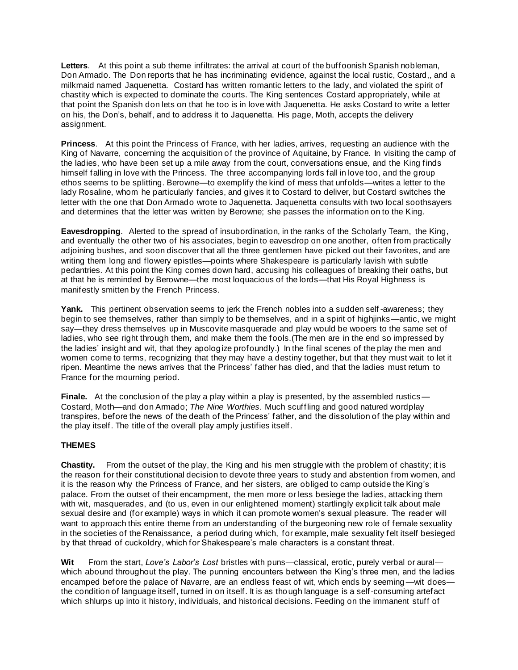**Letters**. At this point a sub theme infiltrates: the arrival at court of the buffoonish Spanish nobleman, Don Armado. The Don reports that he has incriminating evidence, against the local rustic, Costard,, and a milkmaid named Jaquenetta. Costard has written romantic letters to the lady, and violated the spirit of chastity which is expected to dominate the courts. The King sentences Costard appropriately, while at that point the Spanish don lets on that he too is in love with Jaquenetta. He asks Costard to write a letter on his, the Don's, behalf, and to address it to Jaquenetta. His page, Moth, accepts the delivery assignment.

**Princess**. At this point the Princess of France, with her ladies, arrives, requesting an audience with the King of Navarre, concerning the acquisition of the province of Aquitaine, by France. In visiting the camp of the ladies, who have been set up a mile away from the court, conversations ensue, and the King finds himself falling in love with the Princess. The three accompanying lords fall in love too, and the group ethos seems to be splitting. Berowne—to exemplify the kind of mess that unfolds—writes a letter to the lady Rosaline, whom he particularly fancies, and gives it to Costard to deliver, but Costard switches the letter with the one that Don Armado wrote to Jaquenetta. Jaquenetta consults with two local soothsayers and determines that the letter was written by Berowne; she passes the information on to the King.

**Eavesdropping**. Alerted to the spread of insubordination, in the ranks of the Scholarly Team, the King, and eventually the other two of his associates, begin to eavesdrop on one another, often from practically adjoining bushes, and soon discover that all the three gentlemen have picked out their favorites, and are writing them long and flowery epistles—points where Shakespeare is particularly lavish with subtle pedantries. At this point the King comes down hard, accusing his colleagues of breaking their oaths, but at that he is reminded by Berowne—the most loquacious of the lords—that His Royal Highness is manifestly smitten by the French Princess.

Yank. This pertinent observation seems to jerk the French nobles into a sudden self-awareness; they begin to see themselves, rather than simply to be themselves, and in a spirit of highjinks—antic, we might say—they dress themselves up in Muscovite masquerade and play would be wooers to the same set of ladies, who see right through them, and make them the fools.(The men are in the end so impressed by the ladies' insight and wit, that they apologize profoundly.) In the final scenes of the play the men and women come to terms, recognizing that they may have a destiny together, but that they must wait to let it ripen. Meantime the news arrives that the Princess' father has died, and that the ladies must return to France for the mourning period.

**Finale.** At the conclusion of the play a play within a play is presented, by the assembled rustics— Costard, Moth—and don Armado; *The Nine Worthies.* Much scuffling and good natured wordplay transpires, before the news of the death of the Princess' father, and the dissolution of the play within and the play itself. The title of the overall play amply justifies itself.

## **THEMES**

**Chastity.** From the outset of the play, the King and his men struggle with the problem of chastity; it is the reason for their constitutional decision to devote three years to study and abstention from women, and it is the reason why the Princess of France, and her sisters, are obliged to camp outside the King's palace. From the outset of their encampment, the men more or less besiege the ladies, attacking them with wit, masquerades, and (to us, even in our enlightened moment) startlingly explicit talk about male sexual desire and (for example) ways in which it can promote women's sexual pleasure. The reader will want to approach this entire theme from an understanding of the burgeoning new role of female sexuality in the societies of the Renaissance, a period during which, for example, male sexuality felt itself besieged by that thread of cuckoldry, which for Shakespeare's male characters is a constant threat.

**Wit** From the start, *Love's Labor's Lost* bristles with puns—classical, erotic, purely verbal or aural which abound throughout the play. The punning encounters between the King's three men, and the ladies encamped before the palace of Navarre, are an endless feast of wit, which ends by seeming—wit does the condition of language itself, turned in on itself. It is as though language is a self-consuming artefact which shlurps up into it history, individuals, and historical decisions. Feeding on the immanent stuff of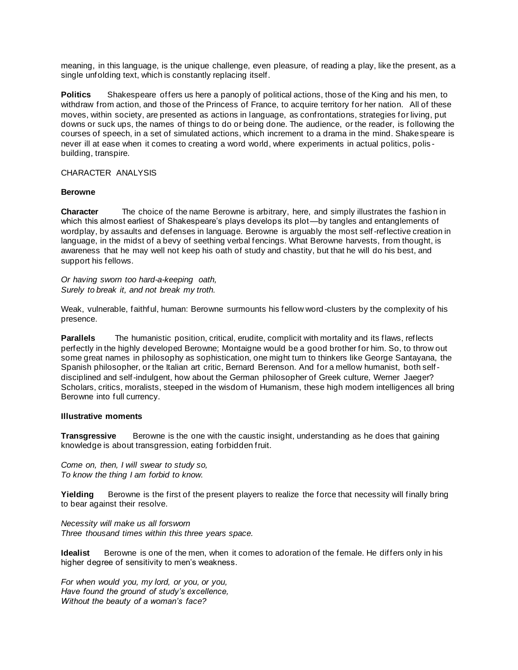meaning, in this language, is the unique challenge, even pleasure, of reading a play, like the present, as a single unfolding text, which is constantly replacing itself.

**Politics** Shakespeare offers us here a panoply of political actions, those of the King and his men, to withdraw from action, and those of the Princess of France, to acquire territory for her nation. All of these moves, within society, are presented as actions in language, as confrontations, strategies for living, put downs or suck ups, the names of things to do or being done. The audience, or the reader, is following the courses of speech, in a set of simulated actions, which increment to a drama in the mind. Shakespeare is never ill at ease when it comes to creating a word world, where experiments in actual politics, polis building, transpire.

CHARACTER ANALYSIS

#### **Berowne**

**Character** The choice of the name Berowne is arbitrary, here, and simply illustrates the fashion in which this almost earliest of Shakespeare's plays develops its plot—by tangles and entanglements of wordplay, by assaults and defenses in language. Berowne is arguably the most self -reflective creation in language, in the midst of a bevy of seething verbal fencings. What Berowne harvests, from thought, is awareness that he may well not keep his oath of study and chastity, but that he will do his best, and support his fellows.

*Or having sworn too hard-a-keeping oath, Surely to break it, and not break my troth.*

Weak, vulnerable, faithful, human: Berowne surmounts his fellow word -clusters by the complexity of his presence.

**Parallels** The humanistic position, critical, erudite, complicit with mortality and its flaws, reflects perfectly in the highly developed Berowne; Montaigne would be a good brother for him. So, to throw out some great names in philosophy as sophistication, one might turn to thinkers like George Santayana, the Spanish philosopher, or the Italian art critic, Bernard Berenson. And for a mellow humanist, both selfdisciplined and self-indulgent, how about the German philosopher of Greek culture, Werner Jaeger? Scholars, critics, moralists, steeped in the wisdom of Humanism, these high modern intelligences all bring Berowne into full currency.

#### **Illustrative moments**

**Transgressive** Berowne is the one with the caustic insight, understanding as he does that gaining knowledge is about transgression, eating forbidden fruit.

*Come on, then, I will swear to study so, To know the thing I am forbid to know.*

Yielding Berowne is the first of the present players to realize the force that necessity will finally bring to bear against their resolve.

*Necessity will make us all forsworn Three thousand times within this three years space.*

**Idealist** Berowne is one of the men, when it comes to adoration of the female. He differs only in his higher degree of sensitivity to men's weakness.

*For when would you, my lord, or you, or you, Have found the ground of study's excellence, Without the beauty of a woman's face?*